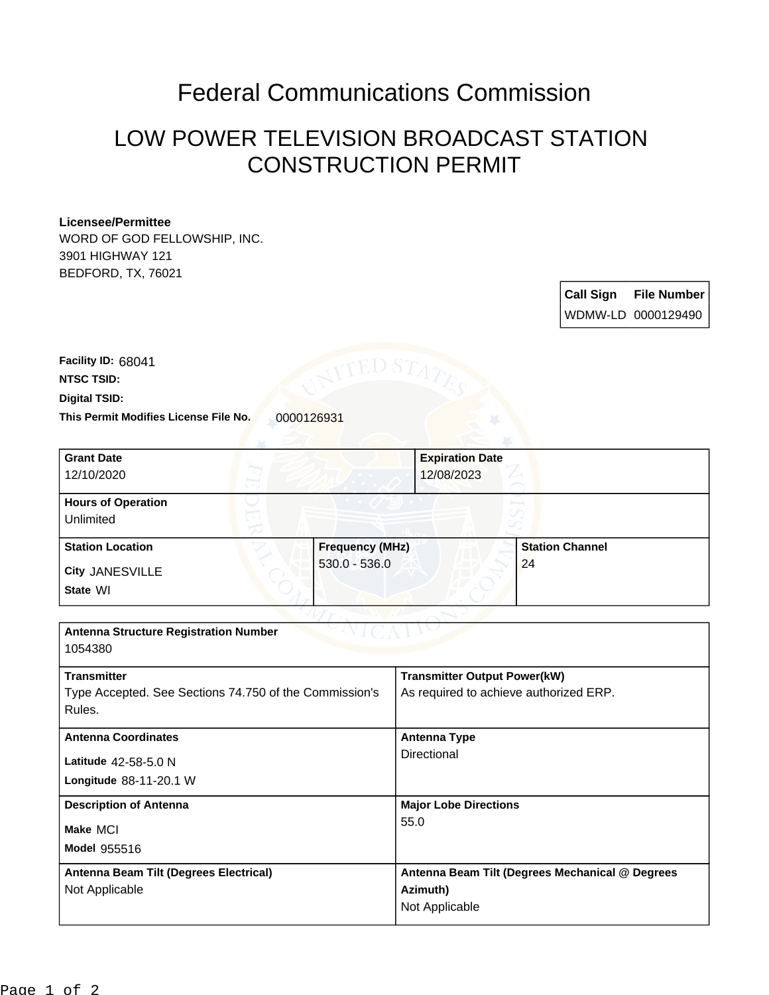## Federal Communications Commission

## LOW POWER TELEVISION BROADCAST STATION CONSTRUCTION PERMIT

## **Licensee/Permittee**

WORD OF GOD FELLOWSHIP, INC. 3901 HIGHWAY 121 BEDFORD, TX, 76021

| <b>Call Sign</b> | <b>File Number</b> |
|------------------|--------------------|
|                  | WDMW-LD 0000129490 |

This Permit Modifies License File No. 0000126931 **Digital TSID: NTSC TSID: Facility ID:** 68041

| <b>Grant Date</b><br>12/10/2020                                                        |                                           | <b>Expiration Date</b><br>12/08/2023                                          |                              |
|----------------------------------------------------------------------------------------|-------------------------------------------|-------------------------------------------------------------------------------|------------------------------|
| <b>Hours of Operation</b><br>Unlimited                                                 |                                           |                                                                               |                              |
| <b>Station Location</b><br>City JANESVILLE<br>State WI                                 | <b>Frequency (MHz)</b><br>$530.0 - 536.0$ |                                                                               | <b>Station Channel</b><br>24 |
| <b>Antenna Structure Registration Number</b><br>1054380                                |                                           |                                                                               |                              |
| <b>Transmitter</b><br>Type Accepted. See Sections 74.750 of the Commission's<br>Rules. |                                           | <b>Transmitter Output Power(kW)</b><br>As required to achieve authorized ERP. |                              |
| <b>Antenna Coordinates</b><br>Latitude 42-58-5.0 N                                     |                                           | <b>Antenna Type</b><br>Directional                                            |                              |

**Model** 955516 **Make** MCI **Longitude** 88-11-20.1 W **Description of Antenna Major Lobe Directions** 55.0 **Antenna Beam Tilt (Degrees Electrical)** Not Applicable **Antenna Beam Tilt (Degrees Mechanical @ Degrees Azimuth)** Not Applicable